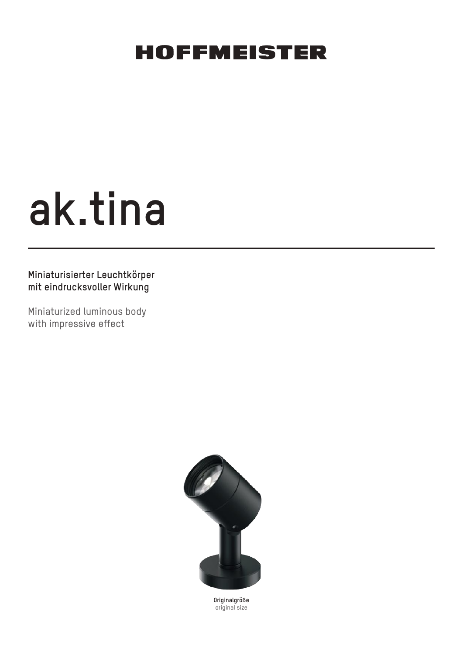# **ak.tina**

## **Miniaturisierter Leuchtkörper mit eindrucksvoller Wirkung**

Miniaturized luminous body with impressive effect



**Originalgröße** original size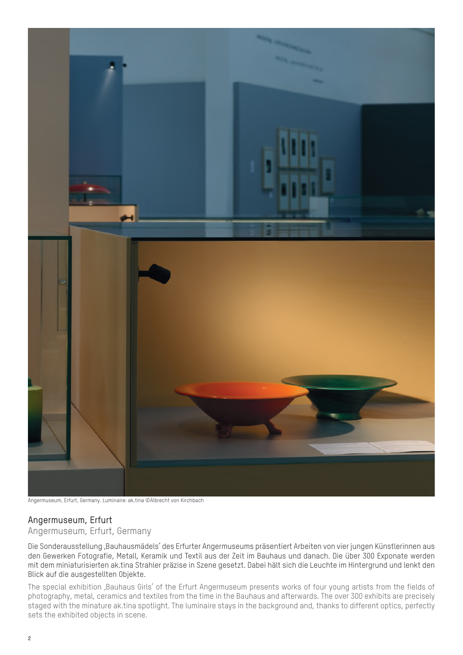

Angermuseum, Erfurt, Germany. Luminaire: ak.tina ©Albrecht von Kirchbach

#### Angermuseum, Erfurt

Angermuseum, Erfurt, Germany

Die Sonderausstellung ,Bauhausmädels' des Erfurter Angermuseums präsentiert Arbeiten von vier jungen Künstlerinnen aus den Gewerken Fotografie, Metall, Keramik und Textil aus der Zeit im Bauhaus und danach. Die über 300 Exponate werden mit dem miniaturisierten ak.tina Strahler präzise in Szene gesetzt. Dabei hält sich die Leuchte im Hintergrund und lenkt den Blick auf die ausgestellten Objekte.

The special exhibition ,Bauhaus Girls' of the Erfurt Angermuseum presents works of four young artists from the fields of photography, metal, ceramics and textiles from the time in the Bauhaus and afterwards. The over 300 exhibits are precisely staged with the minature ak.tina spotlight. The luminaire stays in the background and, thanks to different optics, perfectly sets the exhibited objects in scene.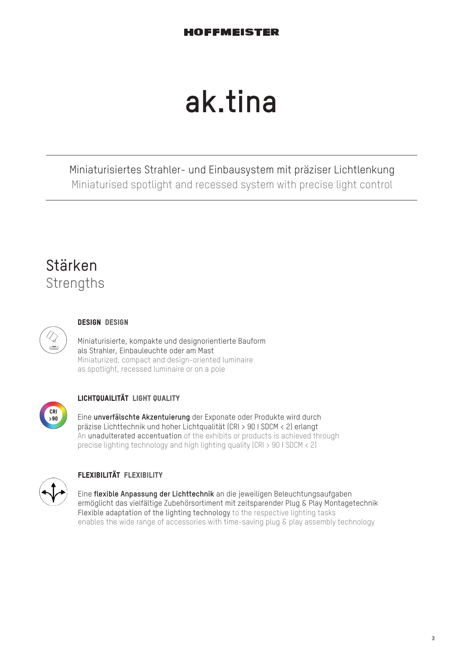## **ak.tina**

Miniaturisiertes Strahler- und Einbausystem mit präziser Lichtlenkung Miniaturised spotlight and recessed system with precise light control

## Stärken **Strengths**



### Design Design

Miniaturisierte, kompakte und designorientierte Bauform als Strahler, Einbauleuchte oder am Mast Miniaturized, compact and design-oriented luminaire as spotlight, recessed luminaire or on a pole



## LICHTQUAILITÄT LIGHT QUALITY

Eine **unverfälschte Akzentuierung** der Exponate oder Produkte wird durch präzise Lichttechnik und hoher Lichtqualität (CRI > 90 I SDCM < 2) erlangt An unadulterated accentuation of the exhibits or products is achieved through precise lighting technology and high lighting quality (CRI > 90 I SDCM < 2)



## flexibilität flexibility

Eine **flexible Anpassung der Lichttechnik** an die jeweiligen Beleuchtungsaufgaben ermöglicht das vielfältige Zubehörsortiment mit zeitsparender Plug & Play Montagetechnik Flexible adaptation of the lighting technology to the respective lighting tasks enables the wide range of accessories with time-saving plug & play assembly technology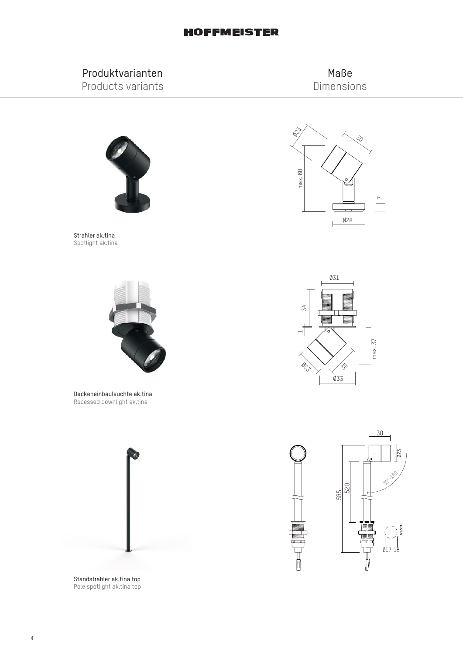## Produktvarianten Products variants

Maße Dimensions



Strahler ak.tina Spotlight ak.tina



Deckeneinbauleuchte ak.tina Recessed downlight ak.tina



Standstrahler ak.tina top Pole spotlight ak.tina top





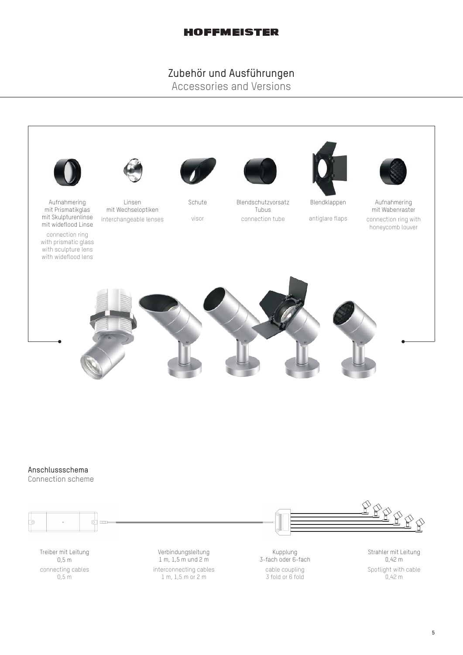## Zubehör und Ausführungen

Accessories and Versions



#### Anschlussschema

Connection scheme

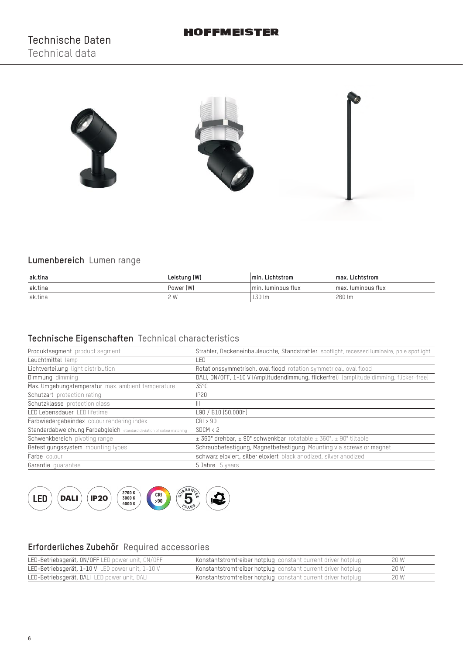

## **Lumenbereich** Lumen range

| ak.tina | Leistung (W) | min. Lichtstrom    | max. Lichtstrom      |
|---------|--------------|--------------------|----------------------|
| ak.tina | Power (W)    | min. luminous flux | l max. luminous flux |
| ak.tina | 2 W          | 130 lm             | 260 lm               |

## **Technische Eigenschaften** Technical characteristics

| Produktsegment product segment                                        | Strahler, Deckeneinbauleuchte, Standstrahler spotlight, recessed luminaire, pole spotlight |  |  |
|-----------------------------------------------------------------------|--------------------------------------------------------------------------------------------|--|--|
| Leuchtmittel lamp                                                     | LED                                                                                        |  |  |
| Lichtverteilung light distribution                                    | Rotationssymmetrisch, oval flood rotation symmetrical, oval flood                          |  |  |
| Dimmung dimming                                                       | DALI, ON/OFF, 1-10 V (Amplitudendimmung, flickerfrei) (amplitude dimming, flicker-free)    |  |  |
| Max. Umgebungstemperatur max. ambient temperature                     | $35^{\circ}$ C                                                                             |  |  |
| Schutzart protection rating                                           | <b>IP20</b>                                                                                |  |  |
| Schutzklasse protection class                                         | $\mathbf{III}$                                                                             |  |  |
| LED Lebensdauer LED lifetime                                          | L90 / B10 (50.000h)                                                                        |  |  |
| Farbwiedergabeindex colour rendering index                            | CRI > 90                                                                                   |  |  |
| Standardabweichung Farbabgleich standard deviation of colour matching | SDCM < 2                                                                                   |  |  |
| Schwenkbereich pivoting range                                         | $\pm$ 360° drehbar, $\pm$ 90° schwenkbar rotatable $\pm$ 360°, $\pm$ 90° tiltable          |  |  |
| Befestigungssystem mounting types                                     | Schraubbefestigung, Magnetbefestigung Mounting via screws or magnet                        |  |  |
| Farbe colour                                                          | schwarz eloxiert, silber eloxiert black anodized, silver anodized                          |  |  |
| Garantie quarantee                                                    | 5 Jahre 5 years                                                                            |  |  |



## **Erforderliches Zubehör** Required accessories

| LED-Betriebsgerät, ON/OFF LED power unit, ON/OFF | Konstantstromtreiber hotplug constant current driver hotplug | 20 W |
|--------------------------------------------------|--------------------------------------------------------------|------|
| LED-Betriebsgerät, 1-10 V LED power unit, 1-10 V | Konstantstromtreiber hotplug constant current driver hotplug | 20 W |
| LED-Betriebsgerät, DALI LED power unit, DALI     | Konstantstromtreiber hotplug constant current driver hotplug | 20 W |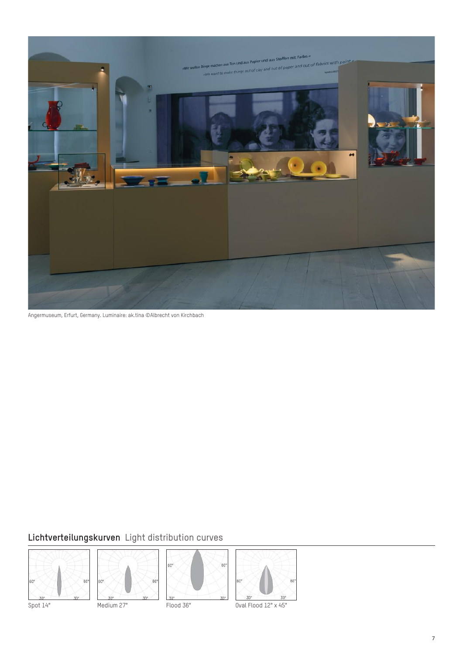

Angermuseum, Erfurt, Germany. Luminaire: ak.tina ©Albrecht von Kirchbach

## **Lichtverteilungskurven** Light distribution curves









Spot 14° Medium 27° Flood 36° Dval Flood 12° x 45°